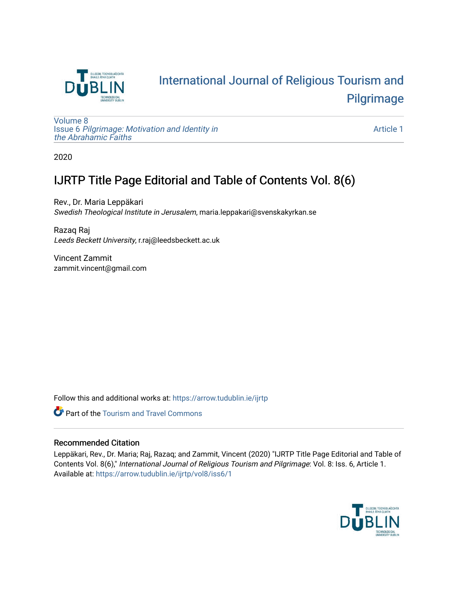

## [International Journal of Religious Tourism and](https://arrow.tudublin.ie/ijrtp)  [Pilgrimage](https://arrow.tudublin.ie/ijrtp)

[Volume 8](https://arrow.tudublin.ie/ijrtp/vol8) Issue 6 [Pilgrimage: Motivation and Identity in](https://arrow.tudublin.ie/ijrtp/vol8/iss6)  [the Abrahamic Faiths](https://arrow.tudublin.ie/ijrtp/vol8/iss6) 

[Article 1](https://arrow.tudublin.ie/ijrtp/vol8/iss6/1) 

2020

### IJRTP Title Page Editorial and Table of Contents Vol. 8(6)

Rev., Dr. Maria Leppäkari Swedish Theological Institute in Jerusalem, maria.leppakari@svenskakyrkan.se

Razaq Raj Leeds Beckett University, r.raj@leedsbeckett.ac.uk

Vincent Zammit zammit.vincent@gmail.com

Follow this and additional works at: [https://arrow.tudublin.ie/ijrtp](https://arrow.tudublin.ie/ijrtp?utm_source=arrow.tudublin.ie%2Fijrtp%2Fvol8%2Fiss6%2F1&utm_medium=PDF&utm_campaign=PDFCoverPages)



### Recommended Citation

Leppäkari, Rev., Dr. Maria; Raj, Razaq; and Zammit, Vincent (2020) "IJRTP Title Page Editorial and Table of Contents Vol. 8(6)," International Journal of Religious Tourism and Pilgrimage: Vol. 8: Iss. 6, Article 1. Available at: [https://arrow.tudublin.ie/ijrtp/vol8/iss6/1](https://arrow.tudublin.ie/ijrtp/vol8/iss6/1?utm_source=arrow.tudublin.ie%2Fijrtp%2Fvol8%2Fiss6%2F1&utm_medium=PDF&utm_campaign=PDFCoverPages)

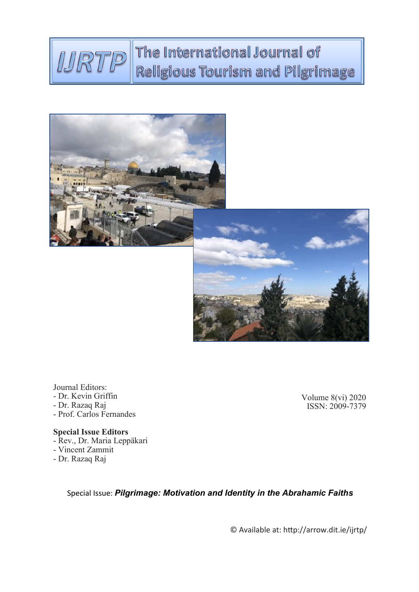### The International Journal of MRTP Religious Tourism and Pilgrimage



Journal Editors: - Dr. Kevin Griffin

- Dr. Razaq Raj
- Prof. Carlos Fernandes

**Special Issue Editors** - Rev., Dr. Maria Leppäkari - Vincent Zammit

- Dr. Razaq Raj

Volume 8(vi) 2020 ISSN: 2009-7379

Special Issue: *Pilgrimage: Motivation and Identity in the Abrahamic Faiths*

© Available at: http://arrow.dit.ie/ijrtp/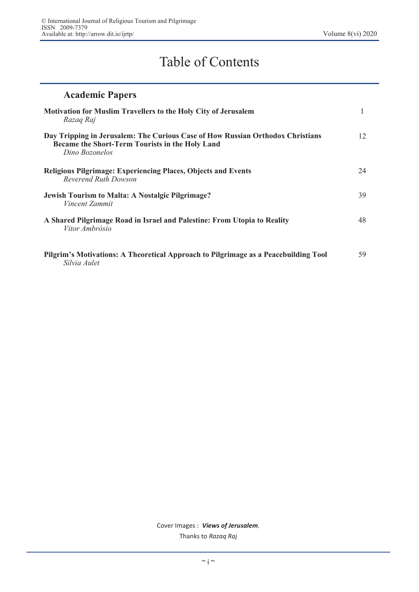# Table of Contents

| <b>Academic Papers</b>                                                                                                                              |    |
|-----------------------------------------------------------------------------------------------------------------------------------------------------|----|
| <b>Motivation for Muslim Travellers to the Holy City of Jerusalem</b><br>Razag Raj                                                                  |    |
| Day Tripping in Jerusalem: The Curious Case of How Russian Orthodox Christians<br>Became the Short-Term Tourists in the Holy Land<br>Dino Bozonelos | 12 |
| <b>Religious Pilgrimage: Experiencing Places, Objects and Events</b><br>Reverend Ruth Dowson                                                        | 24 |
| <b>Jewish Tourism to Malta: A Nostalgic Pilgrimage?</b><br>Vincent Zammit                                                                           | 39 |
| A Shared Pilgrimage Road in Israel and Palestine: From Utopia to Reality<br>Vitor Ambrósio                                                          | 48 |
| Pilgrim's Motivations: A Theoretical Approach to Pilgrimage as a Peacebuilding Tool<br>Silvia Aulet                                                 | 59 |

Cover Images : *Views of Jerusalem,*  Thanks to *Razaq Raj*